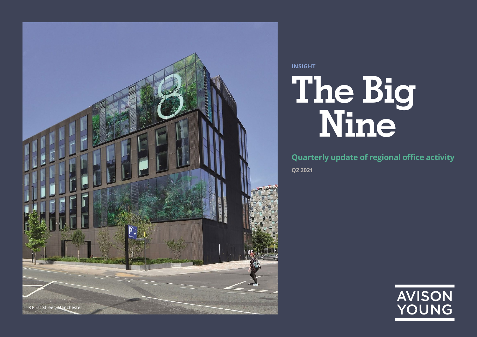

# **The Big Nine INSIGHT**

**Q2 2021 Quarterly update of regional office activity**

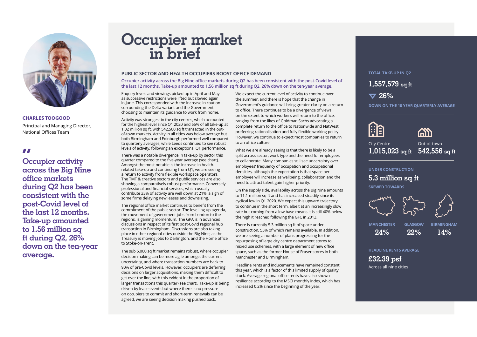

### **CHARLES TOOGOOD**

Principal and Managing Director, National Offices Team

**Occupier activity "across the Big Nine office markets during Q2 has been consistent with the post-Covid level of the last 12 months. Take-up amounted to 1.56 million sq ft during Q2, 26% down on the ten-year average.**

# **Occupier market in brief**

### **PUBLIC SECTOR AND HEALTH OCCUPIERS BOOST OFFICE DEMAND**

**Occupier activity across the Big Nine office markets during Q2 has been consistent with the post-Covid level of the last 12 months. Take-up amounted to 1.56 million sq ft during Q2, 26% down on the ten-year average.**

Enquiry levels and viewings picked up in April and May as successive restrictions were lifted but slowed again in June. This corresponded with the increase in caution surrounding the Delta variant and the Government choosing to maintain its guidance to work from home.

Activity was strongest in the city centres, which accounted for the highest level since Q1 2020 and 65% of all take-up at 1.02 million sq ft, with 542,500 sq ft transacted in the outof-town markets. Activity in all cities was below average but both Birmingham and Edinburgh performed well compared to quarterly averages, while Leeds continued to see robust levels of activity, following an exceptional Q1 performance.

There was a notable divergence in take-up by sector this quarter compared to the five-year average (see chart). Amongst the most notable is the increase in healthrelated take-up and continuing from Q1, we are seeing a return to activity from flexible workspace operators. The TMT & creative sectors and public services are also showing a comparatively robust performance. Conversely professional and financial services, which usually contribute 35% of activity are well down at 21%, a sign of some firms delaying new leases and downsizing.

The regional office market continues to benefit from the commitment of the public sector. The levelling up agenda, the movement of government jobs from London to the regions, is gaining momentum. The GPA is in advanced discussions in respect of its first post-Covid regional hub transaction in Birmingham. Discussions are also taking place in other regional cities outside the Big Nine, as the Treasury is moving jobs to Darlington, and the Home office to Stoke-on-Trent.

The sub 5,000 sq ft market remains robust, where occupier decision making can be more agile amongst the current uncertainty, and where transaction numbers are back to 90% of pre-Covid levels. However, occupiers are deferring decisions on larger acquisitions, making them difficult to get over the line, with this evident in the proportion of larger transactions this quarter (see chart). Take-up is being driven by lease events but where there is no pressure on occupiers to commit and short-term renewals can be agreed, we are seeing decision making pushed back.

We expect the current level of activity to continue over the summer, and there is hope that the change in Government's guidance will bring greater clarity on a return to office. There continues to be a divergence of views on the extent to which workers will return to the office, ranging from the likes of Goldman Sachs advocating a complete return to the office to Nationwide and NatWest preferring rationalisation and fully flexible working policy. However, we continue to expect most companies to return to an office culture.

What we are already seeing is that there is likely to be a split across sector, work type and the need for employees to collaborate. Many companies still see uncertainty over employees' frequency of occupation and occupational densities, although the expectation is that space per employee will increase as wellbeing, collaboration and the need to attract talent gain higher priority.

On the supply side, availability across the Big Nine amounts to 11.1 million sq ft and has increased steadily since its cyclical low in Q1 2020. We expect this upward trajectory to continue in the short term, albeit at an increasingly slow rate but coming from a low base means it is still 40% below the high it reached following the GFC in 2013.

There is currently 5.3 million sq ft of space under construction, 55% of which remains available. In addition, we are seeing a number of plans progressing for the repurposing of large city centre department stores to mixed use schemes, with a large element of new office space, such as the former House of Fraser stores in both Manchester and Birmingham.

Headline rents and inducements have remained constant this year, which is a factor of this limited supply of quality stock. Average regional office rents have also shown resilience according to the MSCI monthly index, which has increased 0.2% since the beginning of the year.

### **TOTAL TAKE-UP IN Q2**

**1,557,579 sq ft**

**26%**

**DOWN ON THE 10 YEAR QUARTERLY AVERAGE**





City Centre **1,015,023 sq ft 542,556 sq ft**

Out-of-town

### **5.3 million sq ft UNDER CONSTRUCTION**

**SKEWED TOWARDS**



**22%**

**14%**

**HEADLINE RENTS AVERAGE**

**£32.39 psf** Across all nine cities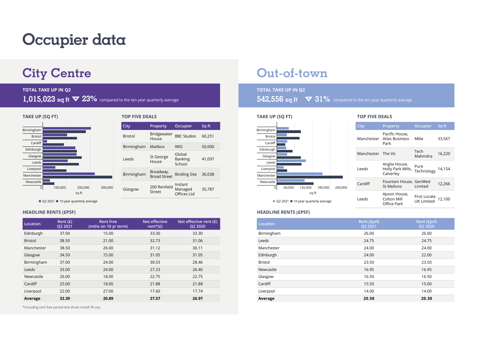## **Occupier data**

### **City Centre Out-of-town**

## **TOTAL TAKE UP IN Q2 TOTAL TAKE UP IN Q2**



| City           | <b>Property</b>                  | Occupier                           | Sq ft  |
|----------------|----------------------------------|------------------------------------|--------|
| <b>Bristol</b> | <b>Bridgewater</b><br>House      | <b>BBC Studios</b>                 | 60.251 |
| Birmingham     | Mailbox                          | IWG                                | 50,000 |
| Leeds          | St George<br>House               | Global<br><b>Banking</b><br>School | 41,097 |
| Birmingham     | Broadway,<br><b>Broad Street</b> | <b>Binding Site</b>                | 36.038 |
| Glasgow        | 200 Renfield<br>Street           | Instant<br>Managed<br>Offices Ltd  | 35,787 |

 $\bullet$  Q2 2021  $\bullet$  10 year quarterly average

### **HEADLINE RENTS (£PSF)**

| Location       | Rent $(E)$<br>Q2 2021 | <b>Rent free</b><br>(mths on 10 yr term) | Net effective<br>rent* $(E)$ | Net effective rent $(E)$<br>Q2 2020 |
|----------------|-----------------------|------------------------------------------|------------------------------|-------------------------------------|
| Edinburgh      | 37.00                 | 15.00                                    | 33.30                        | 33.30                               |
| <b>Bristol</b> | 38.50                 | 21.00                                    | 32.73                        | 31.06                               |
| Manchester     | 38.50                 | 26.00                                    | 31.12                        | 30.11                               |
| Glasgow        | 34.50                 | 15.00                                    | 31.05                        | 31.05                               |
| Birmingham     | 37.00                 | 24.00                                    | 30.53                        | 28.46                               |
| Leeds          | 33.00                 | 24.00                                    | 27.23                        | 26.40                               |
| Newcastle      | 26.00                 | 18.00                                    | 22.75                        | 22.75                               |
| Cardiff        | 25.00                 | 18.00                                    | 21.88                        | 21.88                               |
| Liverpool      | 22.00                 | 27.00                                    | 17.60                        | 17.74                               |
| Average        | 32.39                 | 20.89                                    | 27.57                        | 26.97                               |

\*including rent free period less three month fit-out.

# 1,015,023 sq ft  $\blacktriangledown$  23% compared to the ten year quarterly average **542,556** sq ft  $\blacktriangledown$  31% compared to the ten year quarterly average



 $\bullet$  Q2 2021  $\bullet$  10 year quarterly average

| City       | Property                                        | <b>Occupier</b>            | Sq f <u>t'</u> |
|------------|-------------------------------------------------|----------------------------|----------------|
| Manchester | Pacific House,<br>Atlas Business<br>Park        | Mitie                      | 33,567         |
| Manchester | The Vic                                         | Tech<br>Mahindra           | 16,220         |
| Leeds      | Anglia House,<br>Holly Park Mills,<br>Calverley | Pure<br>Technology         | 14,154         |
| Cardiff    | Fountain House, GenMed<br>St Mellons            | Limited                    | 12,266         |
| Leeds      | Apson House,<br>Colton Mill<br>Office Park      | First Locate<br>UK Limited | 12,100         |

### **HEADLINE RENTS (£PSF)**

| Location       | Rent (£psf)<br>Q2 2021 | Rent (£psf)<br>Q2 2020 |
|----------------|------------------------|------------------------|
| Birmingham     | 26.00                  | 26.00                  |
| Leeds          | 24.75                  | 24.75                  |
| Manchester     | 24.00                  | 24.00                  |
| Edinburgh      | 24.00                  | 22.00                  |
| <b>Bristol</b> | 23.50                  | 23.50                  |
| Newcastle      | 16.95                  | 16.95                  |
| Glasgow        | 16.50                  | 16.50                  |
| Cardiff        | 15.50                  | 15.00                  |
| Liverpool      | 14.00                  | 14.00                  |
| Average        | 20.58                  | 20.30                  |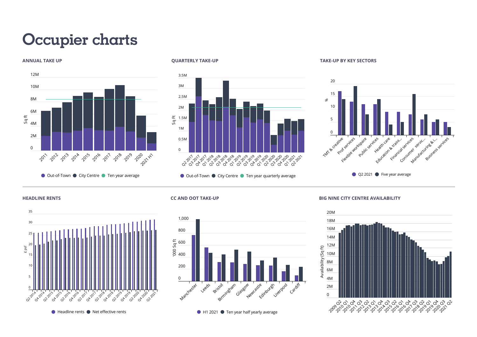# **Occupier charts**



**ANNUAL TAKE UP QUARTERLY TAKE-UP**





#### **HEADLINE RENTS**



 $\bullet$  Headline rents  $\bullet$  Net effective rents

### **CC AND OOT TAKE-UP**

 $\Omega$ 0.5M 1M 도 1.5M<br>S

2M 2.5M 3M 3.5M



Q2 2017 Q3 2017 Q4 2017 Q1 2018 Q2 2018 Q3 2018 Q4 2018 Q1 2019 Q2 2019 Q3 2019 Q4 2019 Q1 2020 Q2 2020 Q3 2020 Q4 2020 Q1 2021 Q2 2021

 $\bullet$  Out-of-Town  $\bullet$  City Centre  $\bullet$  Ten year quarterly average

**BIG NINE CITY CENTRE AVAILABILITY**



 $\bullet$  H1 2021  $\bullet$  Ten year half yearly average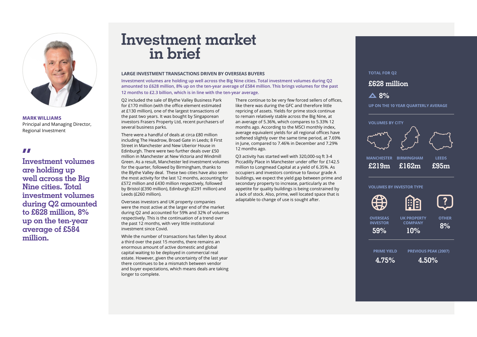

**MARK WILLIAMS**

Principal and Managing Director, Regional Investment

**II**<br>Investment volumes **are holding up well across the Big Nine cities. Total investment volumes during Q2 amounted to £628 million, 8% up on the ten-year average of £584 million.**

### **Investment market in brief**

### **LARGE INVESTMENT TRANSACTIONS DRIVEN BY OVERSEAS BUYERS**

**Investment volumes are holding up well across the Big Nine cities. Total investment volumes during Q2 amounted to £628 million, 8% up on the ten-year average of £584 million. This brings volumes for the past 12 months to £2.3 billion, which is in line with the ten-year average.**

Q2 included the sale of Blythe Valley Business Park for £170 million (with the office element estimated at £130 million), one of the largest transactions of the past two years. It was bought by Singaporean investors Frasers Property Ltd, recent purchasers of several business parks.

There were a handful of deals at circa £80 million including The Headrow, Broad Gate in Leeds; 8 First Street in Manchester and New Uberior House in Edinburgh. There were two further deals over £50 million in Manchester at New Victoria and Windmill Green. As a result, Manchester led investment volumes for the quarter, followed by Birmingham, thanks to the Blythe Valley deal. These two cities have also seen the most activity for the last 12 months, accounting for £572 million and £430 million respectively, followed by Bristol (£390 million), Edinburgh (£291 million) and Leeds (£260 million).

Overseas investors and UK property companies were the most active at the larger end of the market during Q2 and accounted for 59% and 32% of volumes respectively. This is the continuation of a trend over the past 12 months, with very little institutional investment since Covid.

While the number of transactions has fallen by about a third over the past 15 months, there remains an enormous amount of active domestic and global capital waiting to be deployed in commercial real estate. However, given the uncertainty of the last year there continues to be a mismatch between vendor and buyer expectations, which means deals are taking longer to complete.

There continue to be very few forced sellers of offices, like there was during the GFC and therefore little repricing of assets. Yields for prime stock continue to remain relatively stable across the Big Nine, at an average of 5.36%, which compares to 5.33% 12 months ago. According to the MSCI monthly index, average equivalent yields for all regional offices have softened slightly over the same time period, at 7.69% in June, compared to 7.46% in December and 7.29% 12 months ago.

Q3 activity has started well with 320,000-sq ft 3-4 Piccadilly Place in Manchester under offer for £142.5 million to Longmead Capital at a yield of 6.35%. As occupiers and investors continue to favour grade A buildings, we expect the yield gap between prime and secondary property to increase, particularly as the appetite for quality buildings is being constrained by a lack of stock. Also, prime, well located space that is adaptable to change of use is sought after.

### **TOTAL FOR Q2**

**£628 million**

### **8% UP ON THE 10 YEAR QUARTERLY AVERAGE**



**COMPANY 10%**

闺 自

### **VOLUMES BY INVESTOR TYPE**





**UK PROPERTY OVERSEAS INVESTOR 59%**

**OTHER 8%**

**PRIME YIELD PREVIOUS PEAK (2007)**

**4.75% 4.50%**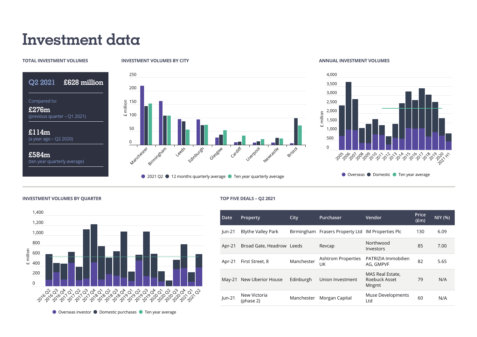## **Investment data**

### **TOTAL INVESTMENT VOLUMES**

(previous quarter – Q1 2021)

(a year ago – Q2 2020)

(ten year quarterly average)

Compared to: **£276m**

**£114m** 

**£584m** 

**Q2 2021 £628 million**

250

200

150 <u>150</u><br>≡ milli<br>⊕ 100

50

0

Marchester

Birmingham

Leeds

Edinburgh

Glasgow

● 2021 O2 ● 12 months quarterly average ● Ten year quarterly average

Cardiff

### **INVESTMENT VOLUMES BY CITY ANNUAL INVESTMENT VOLUMES**



 $\bullet$  Overseas  $\bullet$  Domestic  $\bullet$  Ten year average

### **INVESTMENT VOLUMES BY QUARTER TOP FIVE DEALS – Q2 2021**



Liverpool

Newcastle

Bristol

| Date     | <b>Property</b>           | City       | Purchaser                                         | Vendor                                     | Price<br>(f.m) | <b>NIY (%)</b> |
|----------|---------------------------|------------|---------------------------------------------------|--------------------------------------------|----------------|----------------|
| $ un-21$ | <b>Blythe Valley Park</b> |            | Birmingham Frasers Property Ltd IM Properties Plc |                                            | 130            | 6.09           |
| Apr-21   | Broad Gate, Headrow Leeds |            | Revcap                                            | Northwood<br>Investors                     | 85             | 7.00           |
| Apr-21   | First Street, 8           | Manchester | <b>Ashtrom Properties</b><br>UK                   | PATRIZIA Immobilien<br>AG. GMPVF           | 82             | 5.65           |
| $Mav-21$ | New Uberior House         | Edinburgh  | Union Investment                                  | MAS Real Estate,<br>Roebuck Asset<br>Mngmt | 79             | N/A            |
| $ un-21$ | New Victoria<br>(phase 2) | Manchester | Morgan Capital                                    | Muse Developments<br>Ltd                   | 60             | N/A            |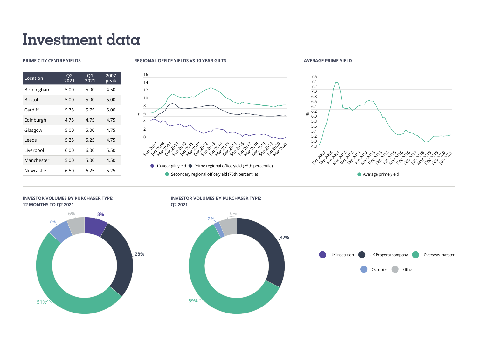### **Investment data**

| <b>PRIME CITY CENTRE YIELDS</b> | <b>REGIONAL OFFICE YIELDS VS 10 YEAR GILTS</b> | <b>AVERAGE PRIME YIELD</b> |
|---------------------------------|------------------------------------------------|----------------------------|
|---------------------------------|------------------------------------------------|----------------------------|







### **INVESTOR VOLUMES BY PURCHASER TYPE: 12 MONTHS TO Q2 2021**



### **INVESTOR VOLUMES BY PURCHASER TYPE:**

**Q2 2021**



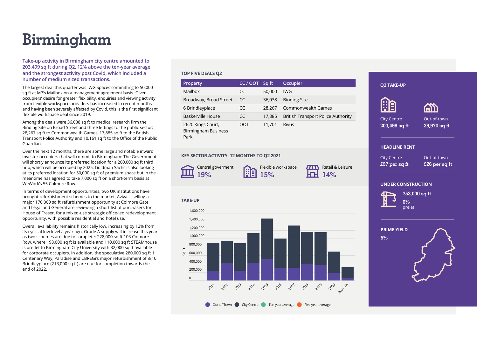# **Birmingham**

**Take-up activity in Birmingham city centre amounted to 203,499 sq ft during Q2, 12% above the ten-year average and the strongest activity post Covid, which included a number of medium sized transactions.**

The largest deal this quarter was IWG Spaces committing to 50,000 sq ft at M7's Mailbox on a management agreement basis. Given occupiers' desire for greater flexibility, enquiries and viewing activity from flexible workspace providers has increased in recent months and having been severely affected by Covid, this is the first significant flexible workspace deal since 2019.

Among the deals were 36,038 sq ft to medical research firm the Binding Site on Broad Street and three lettings to the public sector: 28,267 sq ft to Commonwealth Games, 17,885 sq ft to the British Transport Police Authority and 10,161 sq ft to the Office of the Public Guardian.

Over the next 12 months, there are some large and notable inward investor occupiers that will commit to Birmingham: The Government will shortly announce its preferred location for a 200,000 sq ft third hub, which will be occupied by 2025. Goldman Sachs is also looking at its preferred location for 50,000 sq ft of premium space but in the meantime has agreed to take 7,000 sq ft on a short-term basis at WeWork's 55 Colmore Row.

In terms of development opportunities, two UK institutions have brought refurbishment schemes to the market. Aviva is selling a major 170,000 sq ft refurbishment opportunity at Colmore Gate and Legal and General are reviewing a short list of purchasers for House of Fraser, for a mixed-use strategic office-led redevelopment opportunity, with possible residential and hotel use.

Overall availability remains historically low, increasing by 12% from its cyclical low level a year ago. Grade A supply will increase this year as two schemes are due to complete: 228,000 sq ft 103 Colmore Row, where 198,000 sq ft is available and 110,000 sq ft STEAMhouse is pre-let to Birmingham City University with 32,000 sq ft available for corporate occupiers. In addition, the speculative 280,000 sq ft 1 Centenary Way, Paradise and CBREGi's major refurbishment of 8/10 Brindleyplace (213,000 sq ft) are due for completion towards the end of 2022.

### **TOP FIVE DEALS Q2**

| <b>Property</b>                                         | CC / OOT | Sq ft  | Occupier                                  |
|---------------------------------------------------------|----------|--------|-------------------------------------------|
| Mailbox                                                 | CC       | 50,000 | IWG                                       |
| Broadway, Broad Street                                  | CC       | 36,038 | <b>Binding Site</b>                       |
| 6 Brindleyplace                                         | CC       | 28.267 | <b>Commonwealth Games</b>                 |
| Baskerville House                                       | CC       | 17,885 | <b>British Transport Police Authority</b> |
| 2620 Kings Court,<br><b>Birmingham Business</b><br>Park | OOT      | 11.701 | <b>Rivus</b>                              |

### **KEY SECTOR ACTIVITY: 12 MONTHS TO Q2 2021**



**TAKE-UP**

 $\Omega$ 200,000 400,000 600,000 800,000 1,000,000 1,200,000 1,400,000 1,600,000

Sq Ft

2011

 $20^2$ 

2013

**2014** 

```
Flexible workspace
A
      15%
```
 $\pi$ **14%**

Retail & Leisure

### **AR** A City Centre Out-of-town **203,499 sq ft 39,970 sq ft HEADLINE RENT** City Centre Out-of-town **£37 per sq ft £26 per sq ft UNDER CONSTRUCTION 753,000 sq ft**



**Q2 TAKE-UP**

**0%** prelet





2016

2017

2018

2019

2020 2021 +1

2015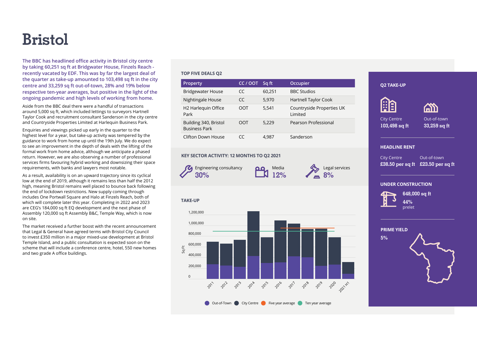### **Bristol**

**The BBC has headlined office activity in Bristol city centre by taking 60,251 sq ft at Bridgwater House, Finzels Reach recently vacated by EDF. This was by far the largest deal of the quarter as take-up amounted to 103,498 sq ft in the city centre and 33,259 sq ft out-of-town, 28% and 19% below respective ten-year averages, but positive in the light of the ongoing pandemic and high levels of working from home.**

Aside from the BBC deal there were a handful of transactions around 5,000 sq ft, which included lettings to surveyors Hartnell Taylor Cook and recruitment consultant Sanderson in the city centre and Countryside Properties Limited at Harlequin Business Park.

Enquiries and viewings picked up early in the quarter to the highest level for a year, but take-up activity was tempered by the guidance to work from home up until the 19th July. We do expect to see an improvement in the depth of deals with the lifting of the formal work from home advice, although we anticipate a phased return. However, we are also observing a number of professional services firms favouring hybrid working and downsizing their space requirements, with banks and lawyers most notable.

As a result, availability is on an upward trajectory since its cyclical low at the end of 2019, although it remains less than half the 2012 high, meaning Bristol remains well placed to bounce back following the end of lockdown restrictions. New supply coming through includes One Portwall Square and Halo at Finzels Reach, both of which will complete later this year. Completing in 2022 and 2023 are CEG's 184,000 sq ft EQ development and the next phase of Assembly 120,000 sq ft Assembly B&C, Temple Way, which is now on site.

The market received a further boost with the recent announcement that Legal & General have agreed terms with Bristol City Council to invest £350 million in a major mixed-use development at Bristol Temple Island, and a public consultation is expected soon on the scheme that will include a conference centre, hotel, 550 new homes and two grade A office buildings.

### **TOP FIVE DEALS Q2**

| Property                                      | CC / OOT | Sq ft  | Occupier                             |
|-----------------------------------------------|----------|--------|--------------------------------------|
| <b>Bridgewater House</b>                      | CC       | 60.251 | <b>BBC Studios</b>                   |
| Nightingale House                             | CC       | 5,970  | Hartnell Taylor Cook                 |
| H2 Harlequin Office<br>Park                   | OOT      | 5.541  | Countryside Properties UK<br>Limited |
| Building 340, Bristol<br><b>Business Park</b> | OOT      | 5,229  | Pearson Professional                 |
| Clifton Down House                            | CC       | 4.987  | Sanderson                            |

### **KEY SECTOR ACTIVITY: 12 MONTHS TO Q2 2021**



**TAKE-UP**

 $\Omega$ 

Sq Ft

200,000

 $20^7$ 

2012

2013

2014

2015

Out-of-Town City Centre Five year average Ten year average

2016

**2017** 

2018

2019

2020  $20^{22}$ 

400,000 600,000 800,000 1,000,000 1,200,000



**8%**

**£38.50 per sq ft £23.50 per sq ft** Legal services



Out-of-town **33,259 sq ft**

**偷的** 

### **UNDER CONSTRUCTION**

**HEADLINE RENT**

**Q2 TAKE-UP**

City Centre **103,498 sq ft**

**AA** 

City Centre



**648,000 sq ft 44%** prelet

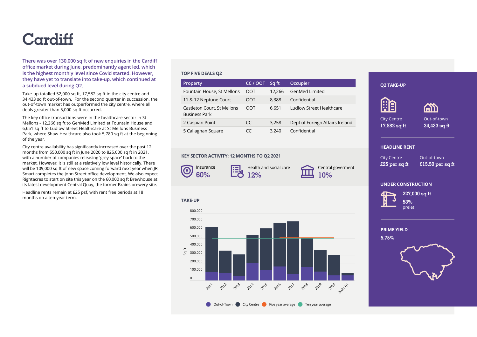### **Cardiff**

**There was over 130,000 sq ft of new enquiries in the Cardiff office market during June, predominantly agent led, which is the highest monthly level since Covid started. However, they have yet to translate into take-up, which continued at a subdued level during Q2.**

Take-up totalled 52,000 sq ft, 17,582 sq ft in the city centre and 34,433 sq ft out-of-town. For the second quarter in succession, the out-of-town market has outperformed the city centre, where all deals greater than 5,000 sq ft occurred.

The key office transactions were in the healthcare sector in St Mellons - 12,266 sq ft to GenMed Limited at Fountain House and 6,651 sq ft to Ludlow Street Healthcare at St Mellons Business Park, where Shaw Healthcare also took 5,780 sq ft at the beginning of the year.

City centre availability has significantly increased over the past 12 months from 550,000 sq ft in June 2020 to 825,000 sq ft in 2021, with a number of companies releasing 'grey space' back to the market. However, it is still at a relatively low level historically. There will be 109,000 sq ft of new space coming forward next year when JR Smart completes the John Street office development. We also expect Rightacres to start on site this year on the 60,000 sq ft Brewhouse at its latest development Central Quay, the former Brains brewery site.

Headline rents remain at £25 psf, with rent free periods at 18 months on a ten-year term.

### **TOP FIVE DEALS Q2**

| <b>Property</b>                                     | CC / OOT | Sq ft  | Occupier                        |
|-----------------------------------------------------|----------|--------|---------------------------------|
| Fountain House, St Mellons                          | OOT      | 12.266 | <b>GenMed Limited</b>           |
| 11 & 12 Neptune Court                               | OOT      | 8.388  | Confidential                    |
| Castleton Court, St Mellons<br><b>Business Park</b> | OOT      | 6.651  | Ludlow Street Healthcare        |
| 2 Caspian Point                                     | CC.      | 3,258  | Dept of Foreign Affairs Ireland |
| 5 Callaghan Square                                  | CC       | 3.240  | Confidential                    |

### **KEY SECTOR ACTIVITY: 12 MONTHS TO Q2 2021**



**TAKE-UP**

300,000 400,000 500,000 600,000 700,000 800,000

Sq Ft

Health and social ca 毘 **12%**

| are |  |
|-----|--|
|     |  |

entral goverment **10%**

### **Aa ASS** Out-of-town City Centre **17,582 sq ft 34,433 sq ft HEADLINE RENT**

**Q2 TAKE-UP**

City Centre **£25 per sq ft**

Out-of-town **£15.50 per sq ft**

### **UNDER CONSTRUCTION**



**227,000 sq ft 53%** prelet

**PRIME YIELD**

**5.75%**



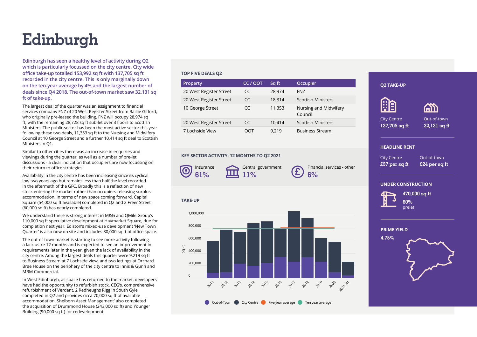# **Edinburgh**

**Edinburgh has seen a healthy level of activity during Q2 which is particularly focussed on the city centre. City wide office take-up totalled 153,992 sq ft with 137,705 sq ft recorded in the city centre. This is only marginally down on the ten-year average by 4% and the largest number of deals since Q4 2018. The out-of-town market saw 32,131 sq ft of take-up.**

The largest deal of the quarter was an assignment to financial services company FNZ of 20 West Register Street from Baillie Gifford, who originally pre-leased the building. FNZ will occupy 28,974 sq ft, with the remaining 28,728 sq ft sub-let over 3 floors to Scottish Ministers. The public sector has been the most active sector this year following these two deals, 11,353 sq ft to the Nursing and Midwifery Council at 10 George Street and a further 10,414 sq ft deal to Scottish Ministers in Q1.

Similar to other cities there was an increase in enquiries and viewings during the quarter, as well as a number of pre-let discussions - a clear indication that occupiers are now focussing on their return to office strategies.

Availability in the city centre has been increasing since its cyclical low two years ago but remains less than half the level recorded in the aftermath of the GFC. Broadly this is a reflection of new stock entering the market rather than occupiers releasing surplus accommodation. In terms of new space coming forward, Capital Square (54,000 sq ft available) completed in Q2 and 2 Freer Street (60,000 sq ft) has nearly completed.

We understand there is strong interest in M&G and QMile Group's 110,000 sq ft speculative development at Haymarket Square, due for completion next year. Ediston's mixed-use development 'New Town Quarter' is also now on site and includes 80,000 sq ft of office space.

The out-of-town market is starting to see more activity following a lacklustre 12 months and is expected to see an improvement in requirements later in the year, given the lack of availability in the city centre. Among the largest deals this quarter were 9,219 sq ft to Business Stream at 7 Lochside view, and two lettings at Orchard Brae House on the periphery of the city centre to Innis & Gunn and MBM Commercial.

In West Edinburgh, as space has returned to the market, developers have had the opportunity to refurbish stock. CEG's, comprehensive refurbishment of Verdant, 2 Redheughs Rigg in South Gyle completed in Q2 and provides circa 70,000 sq ft of available accommodation. Shelborn Asset Management' also completed the acquisition of Drummond House (243,000 sq ft) and Younger Building (90,000 sq ft) for redevelopment.

### **TOP FIVE DEALS Q2**

| <b>Property</b>         | CC / OOT | Sq ft  | Occupier                         |
|-------------------------|----------|--------|----------------------------------|
| 20 West Register Street | CC       | 28.974 | <b>FNZ</b>                       |
| 20 West Register Street | CC       | 18.314 | <b>Scottish Ministers</b>        |
| 10 George Street        | CC       | 11.353 | Nursing and Midwifery<br>Council |
| 20 West Register Street | CC       | 10.414 | <b>Scottish Ministers</b>        |
| 7 Lochside View         | OOT      | 9.219  | <b>Business Stream</b>           |

### **KEY SECTOR ACTIVITY: 12 MONTHS TO Q2 2021**



**TAKE-UP**

 $\Omega$ 

Sq Ft

200,000

 $20^1$ 

2012

2013

2014

400,000

600,000

800,000

1,000,000

Central government **11%**

Financial services - other **6%**

### City Centre **£37 per sq ft**

Out-of-town **£24 per sq ft**

Out-of-town **32,131 sq ft**

#### **UNDER CONSTRUCTION**



**470,000 sq ft 60%** prelet



**HEADLINE RENT**

**Q2 TAKE-UP**

City Centre **137,705 sq ft**

**AR** 



Out-of-Town City Centre Five year average Ten year average

2016

2017

2018

2019

2020  $20^{22}$ 

2015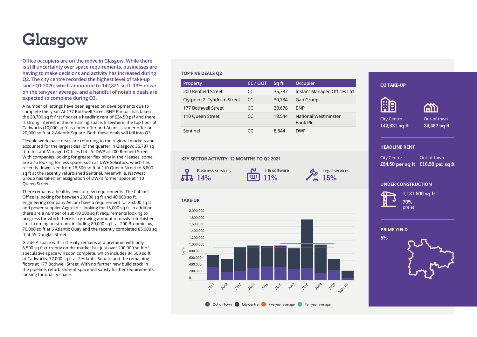# **Glasgow**

**Office occupiers are on the move in Glasgow. While there is still uncertainty over space requirements, businesses are having to make decisions and activity has increased during Q2. The city centre recorded the highest level of take-up since Q1 2020, which amounted to 142,821 sq ft, 13% down on the ten-year average, and a handful of notable deals are expected to complete during Q3.**

A number of lettings have been agreed on developments due to complete this year. At 177 Bothwell Street BNP Paribas has taken the 20,700 sq ft first floor at a headline rent of £34.50 psf and there is strong interest in the remaining space. Elsewhere, the top floor of Cadworks (10,000 sq ft) is under offer and Atkins is under offer on 20,000 sq ft at 2 Atlantic Square. Both these deals will fall into Q3.

Flexible workspace deals are returning to the regional markets and accounted for the largest deal of the quarter in Glasgow: 35,787 sq ft to Instant Managed Offices Ltd c/o DWP at 200 Renfield Street. With companies looking for greater flexibility in their leases, some are also looking for less space, such as DWF Solicitors, which has recently downsized from 18,500 sq ft at 110 Queen Street to 8,800 sq ft at the recently refurbished Sentinel. Meanwhile, NatWest Group has taken an assignation of DWF's former space at 110 Queen Street.

There remains a healthy level of new requirements. The Cabinet Office is looking for between 20,000 sq ft and 40,000 sq ft, engineering company Aecom have a requirement for 25,000 sq ft and power supplier Aggreko is looking for 15,000 sq ft. In addition, there are a number of sub-10,000 sq ft requirements looking to progress for which there is a growing amount of newly refurbished stock coming on stream, including 80,000 sq ft at 200 Broomielaw, 70,000 sq ft at 6 Atlantic Quay and the recently completed 85,000 sq ft at 55 Douglas Street.

Grade A space within the city remains at a premium with only 6,500 sq ft currently on the market but just over 200,000 sq ft of speculative space will soon complete, which includes 84,500 sq ft at Cadworks, 77,000 sq ft at 2 Atlantic Square and the remaining floors at 177 Bothwell Street. With no further new build stock in the pipeline, refurbishment space will satisfy further requirements looking for quality space.

### **TOP FIVE DEALS Q2**

| Property                    | CC / OOT | Sq ft  | Occupier                         |
|-----------------------------|----------|--------|----------------------------------|
| 200 Renfield Street         | CC       | 35,787 | Instant Managed Offices Ltd      |
| Ciytpoint 2, Tyndrum Street | CC       | 30,734 | Gap Group                        |
| 177 Bothwell Street         | CC       | 20.676 | <b>BNP</b>                       |
| 110 Queen Street            | CC       | 18.544 | National Westminster<br>Bank Plc |
| Sentinel                    | CC       | 8.844  | <b>DWF</b>                       |

### **KEY SECTOR ACTIVITY: 12 MONTHS TO Q2 2021**



**TAKE-UP**

IT & software 匪 **11%**

Legal services **15%**

### **AR** A City Centre Out-of-town **142,821 sq ft 34,497 sq ft HEADLINE RENT** City Centre Out-of-town **£34.50 per sq ft £16.50 per sq ft**

#### **UNDER CONSTRUCTION**



**Q2 TAKE-UP**

**1,181,500 sq ft 79%** prelet





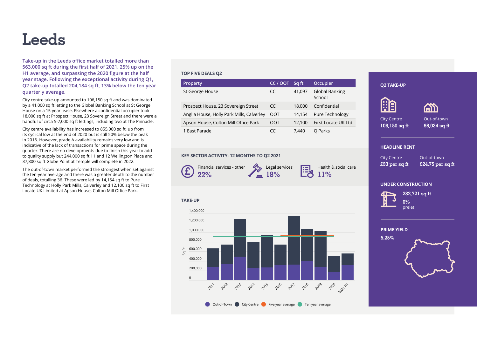### **Leeds**

**Take-up in the Leeds office market totalled more than 563,000 sq ft during the first half of 2021, 25% up on the H1 average, and surpassing the 2020 figure at the half year stage. Following the exceptional activity during Q1, Q2 take-up totalled 204,184 sq ft, 13% below the ten year quarterly average.**

City centre take-up amounted to 106,150 sq ft and was dominated by a 41,000 sq ft letting to the Global Banking School at St George House on a 15-year lease. Elsewhere a confidential occupier took 18,000 sq ft at Prospect House, 23 Sovereign Street and there were a handful of circa 5-7,000 sq ft lettings, including two at The Pinnacle.

City centre availability has increased to 855,000 sq ft, up from its cyclical low at the end of 2020 but is still 50% below the peak in 2016. However, grade A availability remains very low and is indicative of the lack of transactions for prime space during the quarter. There are no developments due to finish this year to add to quality supply but 244,000 sq ft 11 and 12 Wellington Place and 37,800 sq ft Globe Point at Temple will complete in 2022.

The out-of-town market performed the strongest when set against the ten-year average and there was a greater depth to the number of deals, totalling 36. These were led by 14,154 sq ft to Pure Technology at Holly Park Mills, Calverley and 12,100 sq ft to First Locate UK Limited at Apson House, Colton Mill Office Park.

### **TOP FIVE DEALS Q2**

| <b>Property</b>                           | CC/OOT | Sq ft  | Occupier                        |
|-------------------------------------------|--------|--------|---------------------------------|
| St George House                           | CC     | 41.097 | <b>Global Banking</b><br>School |
| Prospect House, 23 Sovereign Street       | CC     | 18,000 | Confidential                    |
| Anglia House, Holly Park Mills, Calverley | OOT    | 14.154 | Pure Technology                 |
| Apson House, Colton Mill Office Park      | OOT    | 12.100 | First Locate UK Ltd             |
| 1 East Parade                             | CC     | 7.440  | O Parks                         |

### **KEY SECTOR ACTIVITY: 12 MONTHS TO Q2 2021**

Financial services - other £ **22%**

Legal services

**E24.75 per sq ft** E24.75 per sq ft E24.75 per sq ft clear health & social care **11%**

City Centre **£33 per sq ft**

**Q2 TAKE-UP**

City Centre **106,150 sq ft**

**Aa** 

**HEADLINE RENT**

Out-of-town

Out-of-town **98,034 sq ft**

**ASS** 

### **UNDER CONSTRUCTION**



**282,721 sq ft 0%** prelet

**PRIME YIELD**



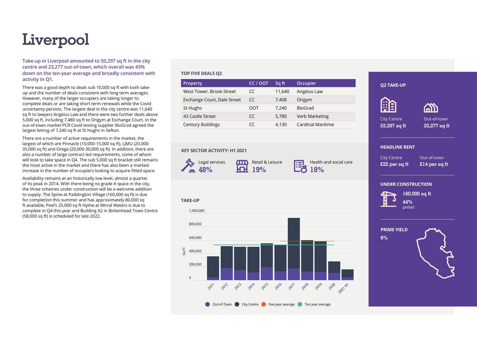# **Liverpool**

**Take-up in Liverpool amounted to 50,297 sq ft in the city centre and 23,277 out-of-town, which overall was 43% down on the ten-year average and broadly consistent with activity in Q1.**

There was a good depth to deals sub 10,000 sq ft with both takeup and the number of deals consistent with long term averages. However, many of the larger occupiers are taking longer to complete deals or are taking short term renewals while the Covid uncertainty persists. The largest deal in the city centre was 11,640 sq ft to lawyers Angelus Law and there were two further deals above 5,000 sq ft, including 7,480 sq ft to Origym at Exchange Court. In the out-of-town market PCR Covid testing supplier BioGrad agreed the largest letting of 7.240 sq ft at St Hughs in Sefton.

There are a number of active requirements in the market, the largest of which are Pinnacle (10,000-15,000 sq ft), LJMU (20,000- 35,000 sq ft) and Orega (20,000-30,000 sq ft). In addition, there are also a number of large contract led requirements, some of whom will look to take space in Q4. The sub 5,000 sq ft bracket still remains the most active in the market and there has also been a marked increase in the number of occupiers looking to acquire fitted space.

Availability remains at an historically low level, almost a quarter of its peak in 2014. With there being no grade A space in the city, the three schemes under construction will be a welcome addition to supply. The Spine at Paddington Village (160,000 sq ft) is due for completion this summer and has approximately 80,000 sq ft available, Peel's 25,000 sq ft Hythe at Wirral Waters is due to complete in Q4 this year and Building A2 in Birkenhead Town Centre (58,000 sq ft) is scheduled for late 2022.

### **TOP FIVE DEALS Q2**

| <b>Property</b>             | CC / OOT | Sq ft  | Occupier          |
|-----------------------------|----------|--------|-------------------|
| West Tower, Brook Street    | CC       | 11,640 | Angelus Law       |
| Exchange Court, Dale Street | CC       | 7,408  | Origym            |
| St Hughs                    | OOT      | 7.240  | BioGrad           |
| 43 Castle Street            | CC       | 5,780  | Verb Marketing    |
| <b>Century Buildings</b>    | CC       | 4,130  | Cardinal Maritime |

### **KEY SECTOR ACTIVITY: H1 2021**



 $T_{\rm I}$ Retail & Leisure انغا **19%**

Health and social care **18%**

City Centre **£22 per sq ft**

**HEADLINE RENT**

**Q2 TAKE-UP**

City Centre **53,297 sq ft**

**AA** 

Out-of-town **£14 per sq ft**

Out-of-town **23,277 sq ft**

**偷的** 

#### **UNDER CONSTRUCTION**



**160,000 sq ft 44%** prelet



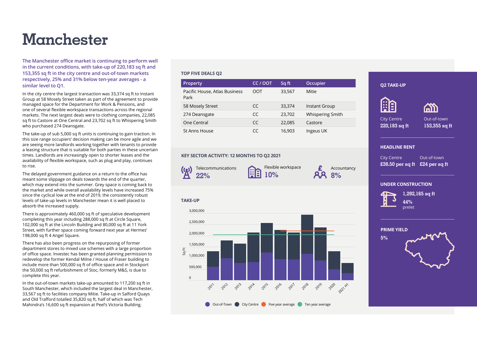## **Manchester**

**The Manchester office market is continuing to perform well in the current conditions, with take-up of 220,183 sq ft and 153,355 sq ft in the city centre and out-of-town markets respectively, 25% and 31% below ten-year averages - a similar level to Q1.**

In the city centre the largest transaction was 33,374 sq ft to Instant Group at 58 Mosely Street taken as part of the agreement to provide managed space for the Department for Work & Pensions, and one of several flexible workspace transactions across the regional markets. The next largest deals were to clothing companies, 22,085 sq ft to Castore at One Central and 23,702 sq ft to Whispering Smith who purchased 274 Deansgate.

The take-up of sub 5,000 sq ft units is continuing to gain traction. In this size range occupiers' decision making can be more agile and we are seeing more landlords working together with tenants to provide a leasing structure that is suitable for both parties in these uncertain times. Landlords are increasingly open to shorter leases and the availability of flexible workspace, such as plug and play, continues to rise.

The delayed government guidance on a return to the office has meant some slippage on deals towards the end of the quarter, which may extend into the summer. Grey space is coming back to the market and while overall availability levels have increased 75% since the cyclical low at the end of 2019, the consistently robust levels of take-up levels in Manchester mean it is well placed to absorb the increased supply.

There is approximately 460,000 sq ft of speculative development completing this year including 288,000 sq ft at Circle Square, 102,000 sq ft at the Lincoln Building and 80,000 sq ft at 11 York Street, with further space coming forward next year at Hermes' 198,000 sq ft 4 Angel Square.

There has also been progress on the repurposing of former department stores to mixed use schemes with a large proportion of office space. Investec has been granted planning permission to redevelop the former Kendal Milne / House of Fraser building to include more than 500,000 sq ft of office space and in Stockport the 50,000 sq ft refurbishment of Stoc, formerly M&S, is due to complete this year.

In the out-of-town markets take-up amounted to 117,200 sq ft in South Manchester, which included the largest deal in Manchester, 33,567 sq ft to facilities company Mitie. Take-up in Salford Quays and Old Trafford totalled 35,820 sq ft, half of which was Tech Mahindra's 16,600 sq ft expansion at Peel's Victoria Building.

### **TOP FIVE DEALS Q2**

| <b>Property</b>                       | CC / OOT                 | Sq ft  | Occupier                |
|---------------------------------------|--------------------------|--------|-------------------------|
| Pacific House, Atlas Business<br>Park | OOT                      | 33,567 | Mitie                   |
| 58 Mosely Street                      | CC                       | 33,374 | Instant Group           |
| 274 Deansgate                         | $\mathcal{C}\mathcal{C}$ | 23,702 | <b>Whispering Smith</b> |
| One Central                           | $\mathcal{C}\mathcal{C}$ | 22,085 | Castore                 |
| St Anns House                         | CC                       | 16,903 | Ingeus UK               |

### **KEY SECTOR ACTIVITY: 12 MONTHS TO Q2 2021**



**TAKE-UP**

Flexible workspace **10%**

Accountancy **8%**



**HEADLINE RENT**

**Q2 TAKE-UP**

City Centre **220,183 sq ft**

**AA** 

City Centre

**1,292,165 sq ft 44%** prelet

**£38.50 per sq ft £24 per sq ft**

Out-of-town **153,355 sq ft**

Out-of-town



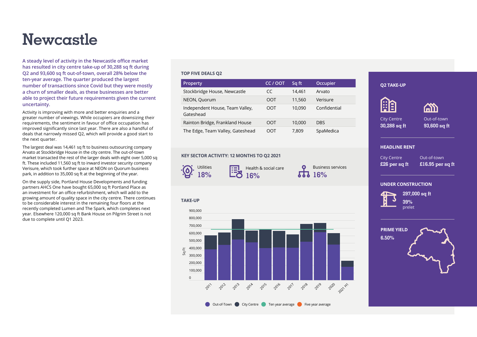### **Newcastle**

**A steady level of activity in the Newcastle office market has resulted in city centre take-up of 30,288 sq ft during Q2 and 93,600 sq ft out-of-town, overall 28% below the ten-year average. The quarter produced the largest number of transactions since Covid but they were mostly a churn of smaller deals, as these businesses are better able to project their future requirements given the current uncertainty.**

Activity is improving with more and better enquiries and a greater number of viewings. While occupiers are downsizing their requirements, the sentiment in favour of office occupation has improved significantly since last year. There are also a handful of deals that narrowly missed Q2, which will provide a good start to the next quarter.

The largest deal was 14,461 sq ft to business outsourcing company Arvato at Stockbridge House in the city centre. The out-of-town market transacted the rest of the larger deals with eight over 5,000 sq ft. These included 11,560 sq ft to inward investor security company Verisure, which took further space at NEON on Quorum business park, in addition to 35,000 sq ft at the beginning of the year.

On the supply side, Portland House Developments and funding partners AHCS One have bought 65,000 sq ft Portland Place as an investment for an office refurbishment, which will add to the growing amount of quality space in the city centre. There continues to be considerable interest in the remaining four floors at the recently completed Lumen and The Spark, which completes next year. Elsewhere 120,000 sq ft Bank House on Pilgrim Street is not due to complete until Q1 2023.

### **TOP FIVE DEALS Q2**

| Property                                     | CC / OOT | Sq ft  | Occupier     |
|----------------------------------------------|----------|--------|--------------|
| Stockbridge House, Newcastle                 | CC       | 14.461 | Arvato       |
| NEON, Quorum                                 | OOT      | 11.560 | Verisure     |
| Independent House, Team Valley,<br>Gateshead | OOT      | 10.090 | Confidential |
| Rainton Bridge, Frankland House              | OOT      | 10,000 | <b>DBS</b>   |
| The Edge, Team Valley, Gateshead             | OOT      | 7.809  | SpaMedica    |

### **KEY SECTOR ACTIVITY: 12 MONTHS TO Q2 2021**



**TAKE-UP**

700,000 800,000 900,000

Health & social care **16%**

**16%**

**£26 per sq ft E26 per sq ft** E16.95 per sq ft Business services

Out-of-town

Out-of-town **93,600 sq ft**

**ASS** 

#### **UNDER CONSTRUCTION**



**HEADLINE RENT**

City Centre

**Q2 TAKE-UP**

City Centre **30,288 sq ft**

**AR** 

**297,000 sq ft 39%** prelet



 $\Omega$ 100,000 200,000 300,000 400,000 500,000 600,000 **2011 2012** 2013 2014 2015 2016 2017 2018 2019 2020 2021 H2 Sq Ft Out-of-Town City Centre Ten year average Five year average